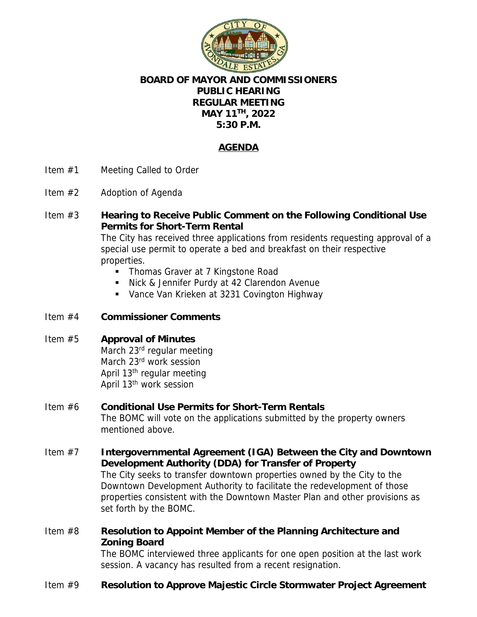

## **BOARD OF MAYOR AND COMMISSIONERS PUBLIC HEARING REGULAR MEETING MAY 11TH, 2022 5:30 P.M.**

# **AGENDA**

- Item #1 Meeting Called to Order
- Item #2 Adoption of Agenda
- Item #3 **Hearing to Receive Public Comment on the Following Conditional Use Permits for Short-Term Rental** The City has received three applications from residents requesting approval of a

special use permit to operate a bed and breakfast on their respective properties.

- Thomas Graver at 7 Kingstone Road
- Nick & Jennifer Purdy at 42 Clarendon Avenue
- **Vance Van Krieken at 3231 Covington Highway**
- Item #4 **Commissioner Comments**

### Item #5 **Approval of Minutes**

March 23<sup>rd</sup> regular meeting March 23<sup>rd</sup> work session April 13th regular meeting April 13th work session

#### Item #6 **Conditional Use Permits for Short-Term Rentals** The BOMC will vote on the applications submitted by the property owners mentioned above.

- Item #7 **Intergovernmental Agreement (IGA) Between the City and Downtown Development Authority (DDA) for Transfer of Property** The City seeks to transfer downtown properties owned by the City to the Downtown Development Authority to facilitate the redevelopment of those properties consistent with the Downtown Master Plan and other provisions as set forth by the BOMC.
- Item #8 **Resolution to Appoint Member of the Planning Architecture and Zoning Board**

The BOMC interviewed three applicants for one open position at the last work session. A vacancy has resulted from a recent resignation.

Item #9 **Resolution to Approve Majestic Circle Stormwater Project Agreement**